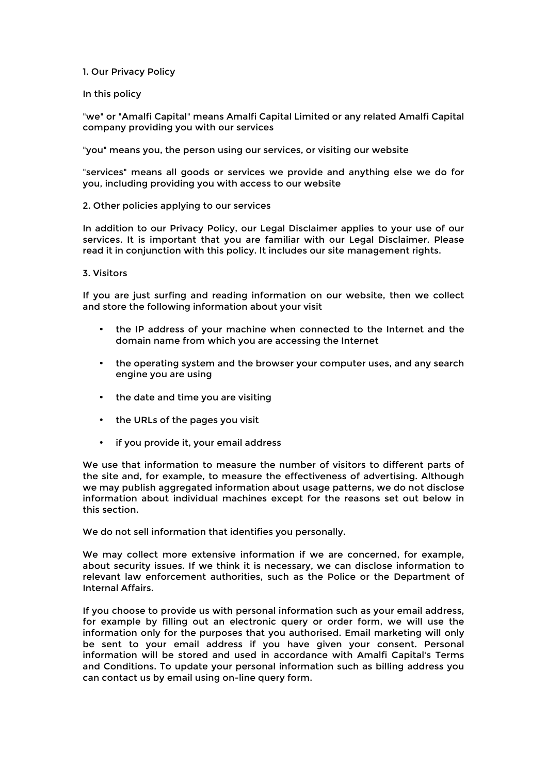## 1. Our Privacy Policy

In this policy

"we" or "Amalfi Capital" means Amalfi Capital Limited or any related Amalfi Capital company providing you with our services

"you" means you, the person using our services, or visiting our website

"services" means all goods or services we provide and anything else we do for you, including providing you with access to our website

## 2. Other policies applying to our services

In addition to our Privacy Policy, our Legal Disclaimer applies to your use of our services. It is important that you are familiar with our Legal Disclaimer. Please read it in conjunction with this policy. It includes our site management rights.

### 3. Visitors

If you are just surfing and reading information on our website, then we collect and store the following information about your visit

- the IP address of your machine when connected to the Internet and the domain name from which you are accessing the Internet
- the operating system and the browser your computer uses, and any search engine you are using
- the date and time you are visiting
- the URLs of the pages you visit
- if you provide it, your email address

We use that information to measure the number of visitors to different parts of the site and, for example, to measure the effectiveness of advertising. Although we may publish aggregated information about usage patterns, we do not disclose information about individual machines except for the reasons set out below in this section.

We do not sell information that identifies you personally.

We may collect more extensive information if we are concerned, for example, about security issues. If we think it is necessary, we can disclose information to relevant law enforcement authorities, such as the Police or the Department of Internal Affairs.

If you choose to provide us with personal information such as your email address, for example by filling out an electronic query or order form, we will use the information only for the purposes that you authorised. Email marketing will only be sent to your email address if you have given your consent. Personal information will be stored and used in accordance with Amalfi Capital's Terms and Conditions. To update your personal information such as billing address you can contact us by email using on-line query form.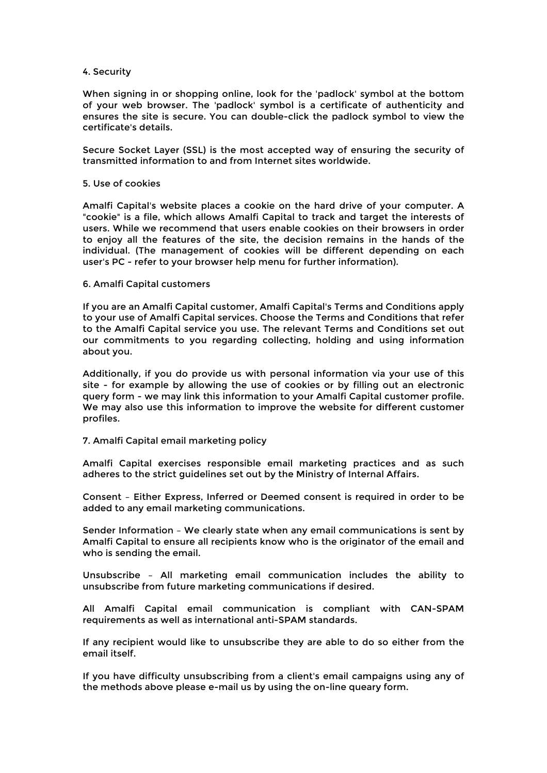### 4. Security

When signing in or shopping online, look for the 'padlock' symbol at the bottom of your web browser. The 'padlock' symbol is a certificate of authenticity and ensures the site is secure. You can double-click the padlock symbol to view the certificate's details.

Secure Socket Layer (SSL) is the most accepted way of ensuring the security of transmitted information to and from Internet sites worldwide.

#### 5. Use of cookies

Amalfi Capital's website places a cookie on the hard drive of your computer. A "cookie" is a file, which allows Amalfi Capital to track and target the interests of users. While we recommend that users enable cookies on their browsers in order to enjoy all the features of the site, the decision remains in the hands of the individual. (The management of cookies will be different depending on each user's PC - refer to your browser help menu for further information).

## 6. Amalfi Capital customers

If you are an Amalfi Capital customer, Amalfi Capital's Terms and Conditions apply to your use of Amalfi Capital services. Choose the Terms and Conditions that refer to the Amalfi Capital service you use. The relevant Terms and Conditions set out our commitments to you regarding collecting, holding and using information about you.

Additionally, if you do provide us with personal information via your use of this site - for example by allowing the use of cookies or by filling out an electronic query form - we may link this information to your Amalfi Capital customer profile. We may also use this information to improve the website for different customer profiles.

#### 7. Amalfi Capital email marketing policy

Amalfi Capital exercises responsible email marketing practices and as such adheres to the strict guidelines set out by the Ministry of Internal Affairs.

Consent – Either Express, Inferred or Deemed consent is required in order to be added to any email marketing communications.

Sender Information – We clearly state when any email communications is sent by Amalfi Capital to ensure all recipients know who is the originator of the email and who is sending the email.

Unsubscribe – All marketing email communication includes the ability to unsubscribe from future marketing communications if desired.

All Amalfi Capital email communication is compliant with CAN-SPAM requirements as well as international anti-SPAM standards.

If any recipient would like to unsubscribe they are able to do so either from the email itself.

If you have difficulty unsubscribing from a client's email campaigns using any of the methods above please e-mail us by using the on-line queary form.